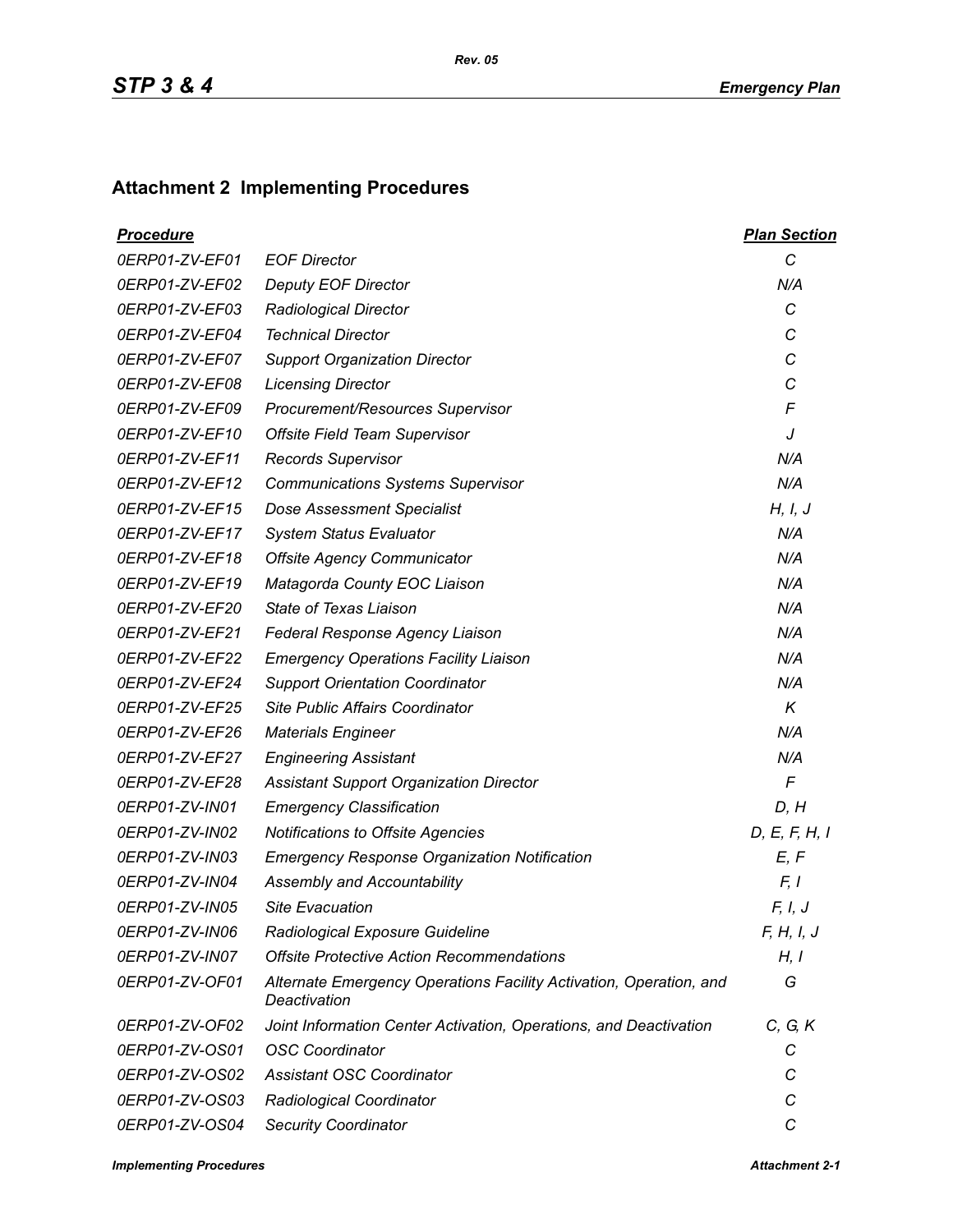## **Attachment 2 Implementing Procedures**

| <u>Procedure</u> |                                                                                    | <b>Plan Section</b> |
|------------------|------------------------------------------------------------------------------------|---------------------|
| 0ERP01-ZV-EF01   | <b>EOF Director</b>                                                                | $\mathcal{C}$       |
| 0ERP01-ZV-EF02   | <b>Deputy EOF Director</b>                                                         | N/A                 |
| 0ERP01-ZV-EF03   | <b>Radiological Director</b>                                                       | C                   |
| 0ERP01-ZV-EF04   | <b>Technical Director</b>                                                          | C                   |
| 0ERP01-ZV-EF07   | <b>Support Organization Director</b>                                               | С                   |
| 0ERP01-ZV-EF08   | <b>Licensing Director</b>                                                          | C                   |
| 0ERP01-ZV-EF09   | Procurement/Resources Supervisor                                                   | F                   |
| 0ERP01-ZV-EF10   | Offsite Field Team Supervisor                                                      | J                   |
| 0ERP01-ZV-EF11   | <b>Records Supervisor</b>                                                          | N/A                 |
| 0ERP01-ZV-EF12   | <b>Communications Systems Supervisor</b>                                           | N/A                 |
| 0ERP01-ZV-EF15   | <b>Dose Assessment Specialist</b>                                                  | H, I, J             |
| 0ERP01-ZV-EF17   | <b>System Status Evaluator</b>                                                     | N/A                 |
| 0ERP01-ZV-EF18   | <b>Offsite Agency Communicator</b>                                                 | N/A                 |
| 0ERP01-ZV-EF19   | Matagorda County EOC Liaison                                                       | N/A                 |
| 0ERP01-ZV-EF20   | State of Texas Liaison                                                             | N/A                 |
| 0ERP01-ZV-EF21   | Federal Response Agency Liaison                                                    | N/A                 |
| 0ERP01-ZV-EF22   | <b>Emergency Operations Facility Liaison</b>                                       | N/A                 |
| 0ERP01-ZV-EF24   | <b>Support Orientation Coordinator</b>                                             | N/A                 |
| 0ERP01-ZV-EF25   | Site Public Affairs Coordinator                                                    | K                   |
| 0ERP01-ZV-EF26   | <b>Materials Engineer</b>                                                          | N/A                 |
| 0ERP01-ZV-EF27   | <b>Engineering Assistant</b>                                                       | N/A                 |
| 0ERP01-ZV-EF28   | <b>Assistant Support Organization Director</b>                                     | $\mathsf{F}$        |
| 0ERP01-ZV-IN01   | <b>Emergency Classification</b>                                                    | D, H                |
| 0ERP01-ZV-IN02   | Notifications to Offsite Agencies                                                  | D, E, F, H, I       |
| 0ERP01-ZV-IN03   | <b>Emergency Response Organization Notification</b>                                | E, F                |
| 0ERP01-ZV-IN04   | Assembly and Accountability                                                        | F, I                |
| 0ERP01-ZV-IN05   | <b>Site Evacuation</b>                                                             | F, I, J             |
| 0ERP01-ZV-IN06   | Radiological Exposure Guideline                                                    | F, H, I, J          |
| 0ERP01-ZV-IN07   | <b>Offsite Protective Action Recommendations</b>                                   | H, I                |
| 0ERP01-ZV-OF01   | Alternate Emergency Operations Facility Activation, Operation, and<br>Deactivation | G                   |
| 0ERP01-ZV-OF02   | Joint Information Center Activation, Operations, and Deactivation                  | C, G, K             |
| 0ERP01-ZV-OS01   | <b>OSC Coordinator</b>                                                             | С                   |
| 0ERP01-ZV-OS02   | <b>Assistant OSC Coordinator</b>                                                   | С                   |
| 0ERP01-ZV-OS03   | Radiological Coordinator                                                           | C                   |
| 0ERP01-ZV-OS04   | <b>Security Coordinator</b>                                                        | С                   |